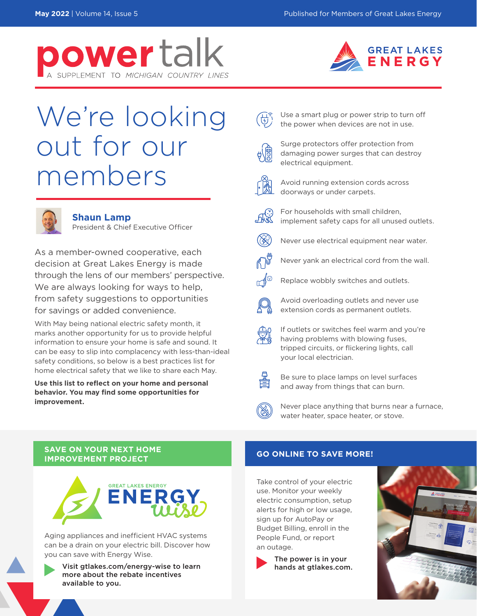



# We're looking out for our members



### **Shaun Lamp**

President & Chief Executive Officer

As a member-owned cooperative, each decision at Great Lakes Energy is made through the lens of our members' perspective. We are always looking for ways to help, from safety suggestions to opportunities for savings or added convenience.

With May being national electric safety month, it marks another opportunity for us to provide helpful information to ensure your home is safe and sound. It can be easy to slip into complacency with less-than-ideal safety conditions, so below is a best practices list for home electrical safety that we like to share each May.

**Use this list to reflect on your home and personal behavior. You may find some opportunities for improvement.**



Surge protectors offer protection from damaging power surges that can destroy electrical equipment.

Use a smart plug or power strip to turn off the power when devices are not in use.



Avoid running extension cords across doorways or under carpets.



For households with small children, implement safety caps for all unused outlets.



Never use electrical equipment near water.



Never yank an electrical cord from the wall.



Replace wobbly switches and outlets.



Avoid overloading outlets and never use extension cords as permanent outlets.



If outlets or switches feel warm and you're having problems with blowing fuses, tripped circuits, or flickering lights, call your local electrician.



Be sure to place lamps on level surfaces and away from things that can burn.



Never place anything that burns near a furnace, water heater, space heater, or stove.

### **SAVE ON YOUR NEXT HOME IMPROVEMENT PROJECT AND REALLY ASSESSED ASSAULT OF A VIOLET OF SAVE MORE!**



Aging appliances and inefficient HVAC systems can be a drain on your electric bill. Discover how you can save with Energy Wise.

Visit gtlakes.com/energy-wise to learn more about the rebate incentives available to you.

Take control of your electric use. Monitor your weekly electric consumption, setup alerts for high or low usage, sign up for AutoPay or Budget Billing, enroll in the People Fund, or report an outage.